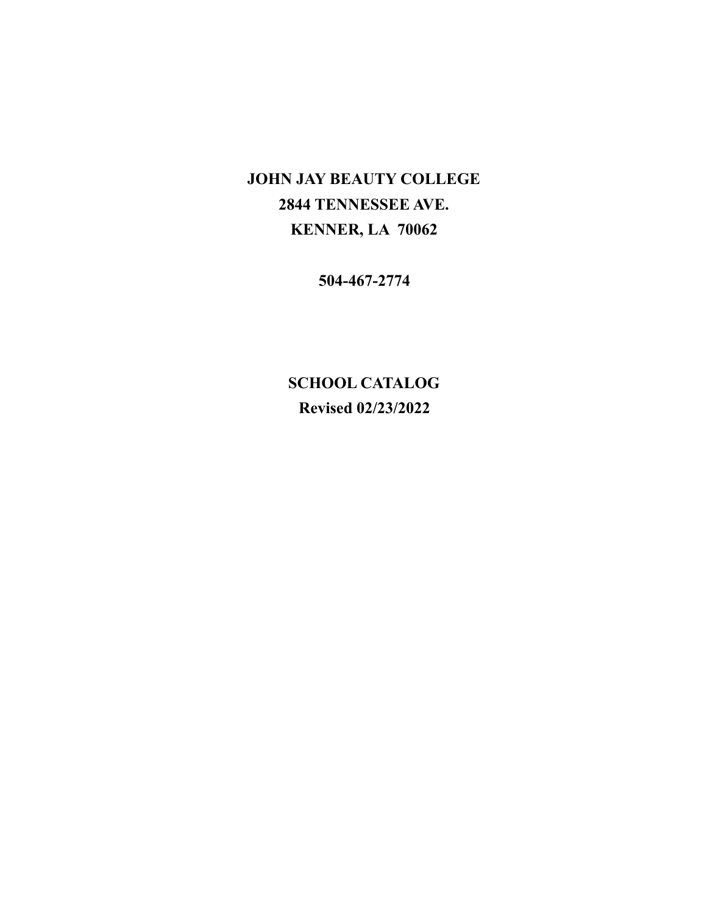# **JOHN JAY BEAUTY COLLEGE 2844 TENNESSEE AVE. KENNER, LA 70062**

**504-467-2774**

**SCHOOL CATALOG Revised 02/23/2022**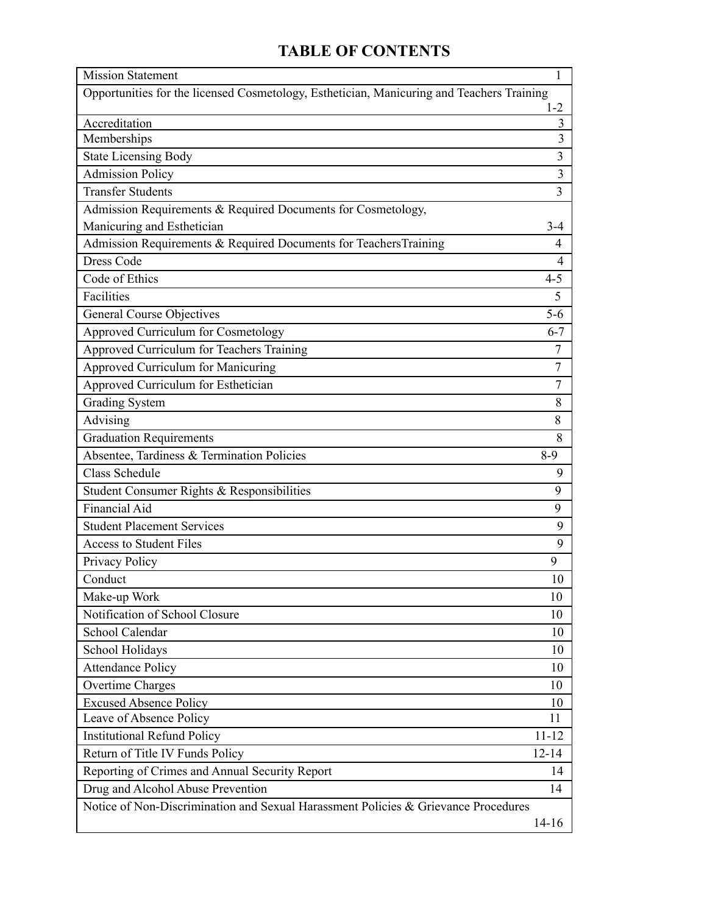# **TABLE OF CONTENTS**

| <b>Mission Statement</b>                                                                  | 1                       |  |
|-------------------------------------------------------------------------------------------|-------------------------|--|
| Opportunities for the licensed Cosmetology, Esthetician, Manicuring and Teachers Training | $1 - 2$                 |  |
| Accreditation                                                                             | 3                       |  |
| Memberships                                                                               | $\overline{\mathbf{3}}$ |  |
| <b>State Licensing Body</b>                                                               | 3                       |  |
| <b>Admission Policy</b>                                                                   | 3                       |  |
| <b>Transfer Students</b>                                                                  | 3                       |  |
| Admission Requirements & Required Documents for Cosmetology,                              |                         |  |
| Manicuring and Esthetician                                                                | $3 - 4$                 |  |
| Admission Requirements & Required Documents for TeachersTraining                          | 4                       |  |
| <b>Dress Code</b>                                                                         | $\overline{4}$          |  |
| Code of Ethics                                                                            | $4 - 5$                 |  |
| Facilities                                                                                | 5                       |  |
| <b>General Course Objectives</b>                                                          | $5-6$                   |  |
| Approved Curriculum for Cosmetology                                                       | $6 - 7$                 |  |
| Approved Curriculum for Teachers Training                                                 | 7                       |  |
| Approved Curriculum for Manicuring                                                        | 7                       |  |
| Approved Curriculum for Esthetician                                                       | $\tau$                  |  |
| <b>Grading System</b>                                                                     | 8                       |  |
| Advising                                                                                  | 8                       |  |
| <b>Graduation Requirements</b>                                                            | 8                       |  |
| Absentee, Tardiness & Termination Policies                                                | $8-9$                   |  |
| <b>Class Schedule</b>                                                                     | 9                       |  |
| Student Consumer Rights & Responsibilities                                                | 9                       |  |
| <b>Financial Aid</b>                                                                      | 9                       |  |
| <b>Student Placement Services</b>                                                         | 9                       |  |
| <b>Access to Student Files</b>                                                            | 9                       |  |
| Privacy Policy                                                                            | 9                       |  |
| Conduct                                                                                   | 10                      |  |
| Make-up Work                                                                              | 10                      |  |
| Notification of School Closure                                                            | 10                      |  |
| School Calendar                                                                           | 10                      |  |
| School Holidays                                                                           | 10                      |  |
| <b>Attendance Policy</b>                                                                  | 10                      |  |
| <b>Overtime Charges</b>                                                                   | 10                      |  |
| <b>Excused Absence Policy</b>                                                             | 10                      |  |
| Leave of Absence Policy                                                                   | 11                      |  |
| <b>Institutional Refund Policy</b>                                                        | $11 - 12$               |  |
| Return of Title IV Funds Policy                                                           | $12 - 14$               |  |
| Reporting of Crimes and Annual Security Report                                            | 14                      |  |
| Drug and Alcohol Abuse Prevention<br>14                                                   |                         |  |
| Notice of Non-Discrimination and Sexual Harassment Policies & Grievance Procedures        |                         |  |
|                                                                                           | $14 - 16$               |  |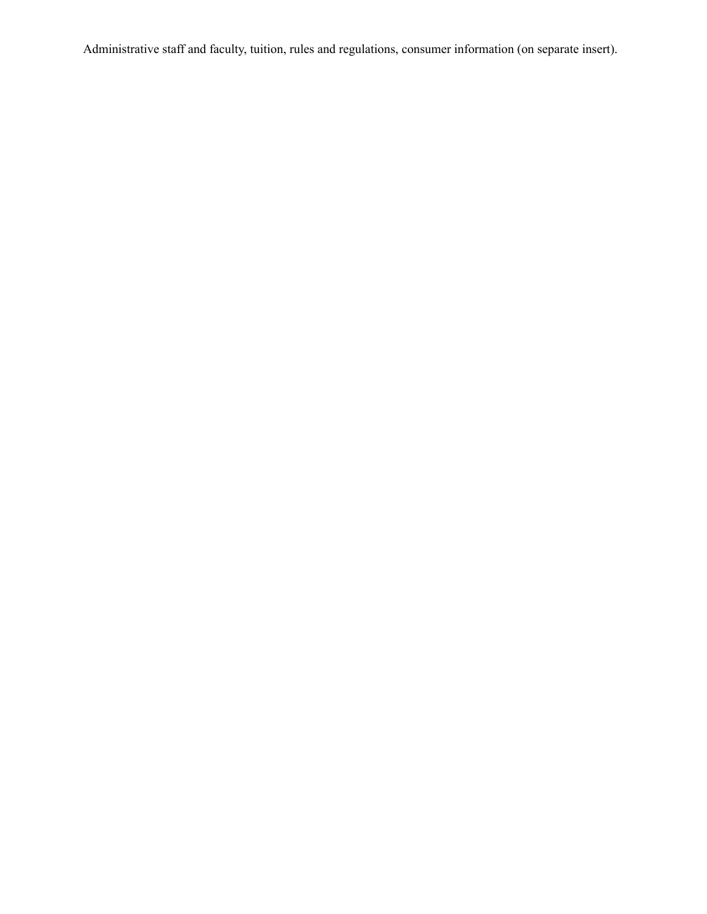Administrative staff and faculty, tuition, rules and regulations, consumer information (on separate insert).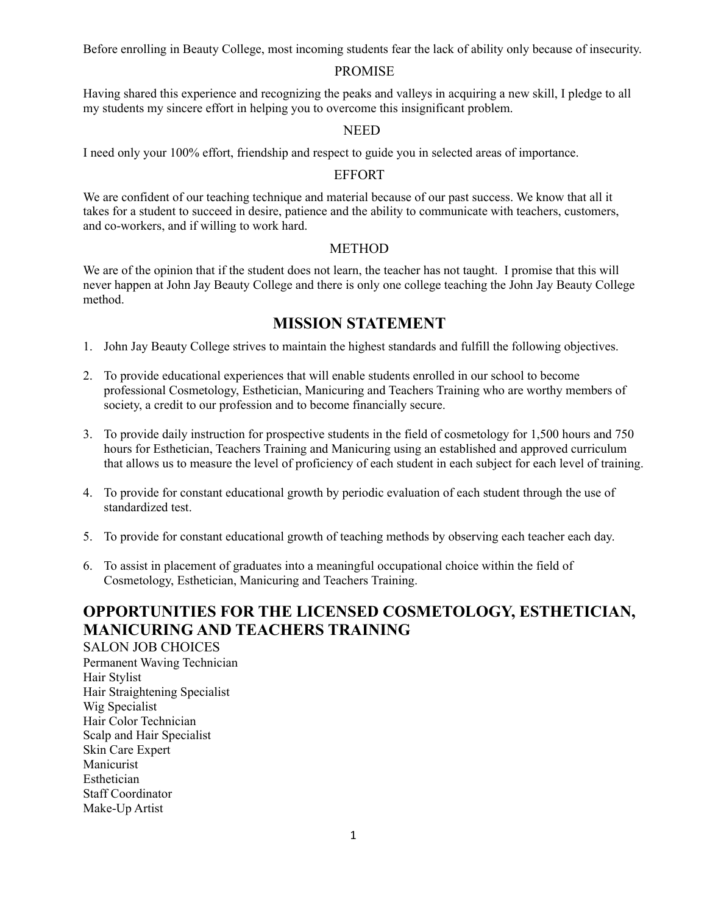Before enrolling in Beauty College, most incoming students fear the lack of ability only because of insecurity.

### PROMISE

Having shared this experience and recognizing the peaks and valleys in acquiring a new skill, I pledge to all my students my sincere effort in helping you to overcome this insignificant problem.

### **NEED**

I need only your 100% effort, friendship and respect to guide you in selected areas of importance.

### EFFORT

We are confident of our teaching technique and material because of our past success. We know that all it takes for a student to succeed in desire, patience and the ability to communicate with teachers, customers, and co-workers, and if willing to work hard.

### METHOD

We are of the opinion that if the student does not learn, the teacher has not taught. I promise that this will never happen at John Jay Beauty College and there is only one college teaching the John Jay Beauty College method.

### **MISSION STATEMENT**

- 1. John Jay Beauty College strives to maintain the highest standards and fulfill the following objectives.
- 2. To provide educational experiences that will enable students enrolled in our school to become professional Cosmetology, Esthetician, Manicuring and Teachers Training who are worthy members of society, a credit to our profession and to become financially secure.
- 3. To provide daily instruction for prospective students in the field of cosmetology for 1,500 hours and 750 hours for Esthetician, Teachers Training and Manicuring using an established and approved curriculum that allows us to measure the level of proficiency of each student in each subject for each level of training.
- 4. To provide for constant educational growth by periodic evaluation of each student through the use of standardized test.
- 5. To provide for constant educational growth of teaching methods by observing each teacher each day.
- 6. To assist in placement of graduates into a meaningful occupational choice within the field of Cosmetology, Esthetician, Manicuring and Teachers Training.

### **OPPORTUNITIES FOR THE LICENSED COSMETOLOGY, ESTHETICIAN, MANICURING AND TEACHERS TRAINING**

SALON JOB CHOICES Permanent Waving Technician Hair Stylist Hair Straightening Specialist Wig Specialist Hair Color Technician Scalp and Hair Specialist Skin Care Expert Manicurist Esthetician Staff Coordinator Make-Up Artist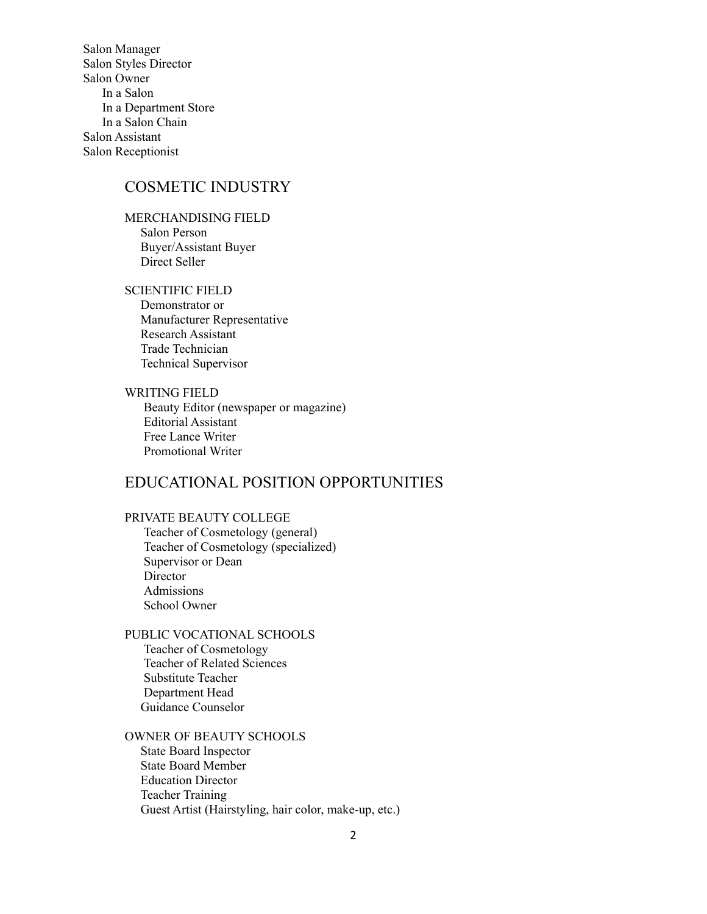Salon Manager Salon Styles Director Salon Owner In a Salon In a Department Store In a Salon Chain Salon Assistant Salon Receptionist

### COSMETIC INDUSTRY

MERCHANDISING FIELD Salon Person Buyer/Assistant Buyer Direct Seller

SCIENTIFIC FIELD

Demonstrator or Manufacturer Representative Research Assistant Trade Technician Technical Supervisor

WRITING FIELD Beauty Editor (newspaper or magazine) Editorial Assistant Free Lance Writer Promotional Writer

### EDUCATIONAL POSITION OPPORTUNITIES

### PRIVATE BEAUTY COLLEGE

Teacher of Cosmetology (general) Teacher of Cosmetology (specialized) Supervisor or Dean **Director** Admissions School Owner

PUBLIC VOCATIONAL SCHOOLS Teacher of Cosmetology Teacher of Related Sciences Substitute Teacher Department Head Guidance Counselor

OWNER OF BEAUTY SCHOOLS State Board Inspector State Board Member Education Director Teacher Training Guest Artist (Hairstyling, hair color, make-up, etc.)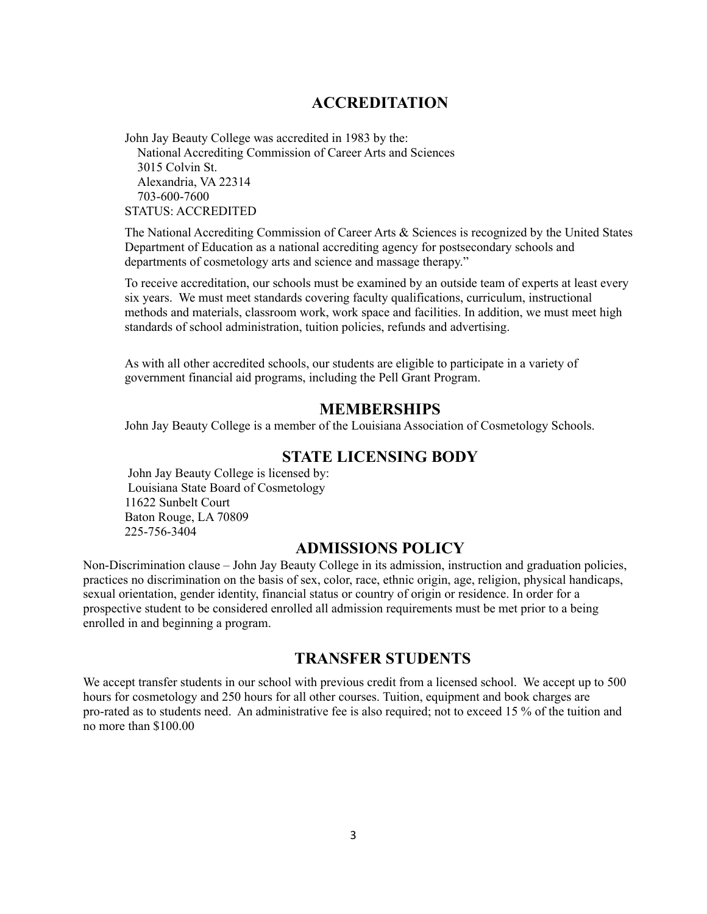### **ACCREDITATION**

John Jay Beauty College was accredited in 1983 by the: National Accrediting Commission of Career Arts and Sciences 3015 Colvin St. Alexandria, VA 22314 703-600-7600 STATUS: ACCREDITED

The National Accrediting Commission of Career Arts & Sciences is recognized by the United States Department of Education as a national accrediting agency for postsecondary schools and departments of cosmetology arts and science and massage therapy."

To receive accreditation, our schools must be examined by an outside team of experts at least every six years. We must meet standards covering faculty qualifications, curriculum, instructional methods and materials, classroom work, work space and facilities. In addition, we must meet high standards of school administration, tuition policies, refunds and advertising.

As with all other accredited schools, our students are eligible to participate in a variety of government financial aid programs, including the Pell Grant Program.

### **MEMBERSHIPS**

John Jay Beauty College is a member of the Louisiana Association of Cosmetology Schools.

### **STATE LICENSING BODY**

John Jay Beauty College is licensed by: Louisiana State Board of Cosmetology 11622 Sunbelt Court Baton Rouge, LA 70809 225-756-3404

### **ADMISSIONS POLICY**

Non-Discrimination clause – John Jay Beauty College in its admission, instruction and graduation policies, practices no discrimination on the basis of sex, color, race, ethnic origin, age, religion, physical handicaps, sexual orientation, gender identity, financial status or country of origin or residence. In order for a prospective student to be considered enrolled all admission requirements must be met prior to a being enrolled in and beginning a program.

### **TRANSFER STUDENTS**

We accept transfer students in our school with previous credit from a licensed school. We accept up to 500 hours for cosmetology and 250 hours for all other courses. Tuition, equipment and book charges are pro-rated as to students need. An administrative fee is also required; not to exceed 15 % of the tuition and no more than \$100.00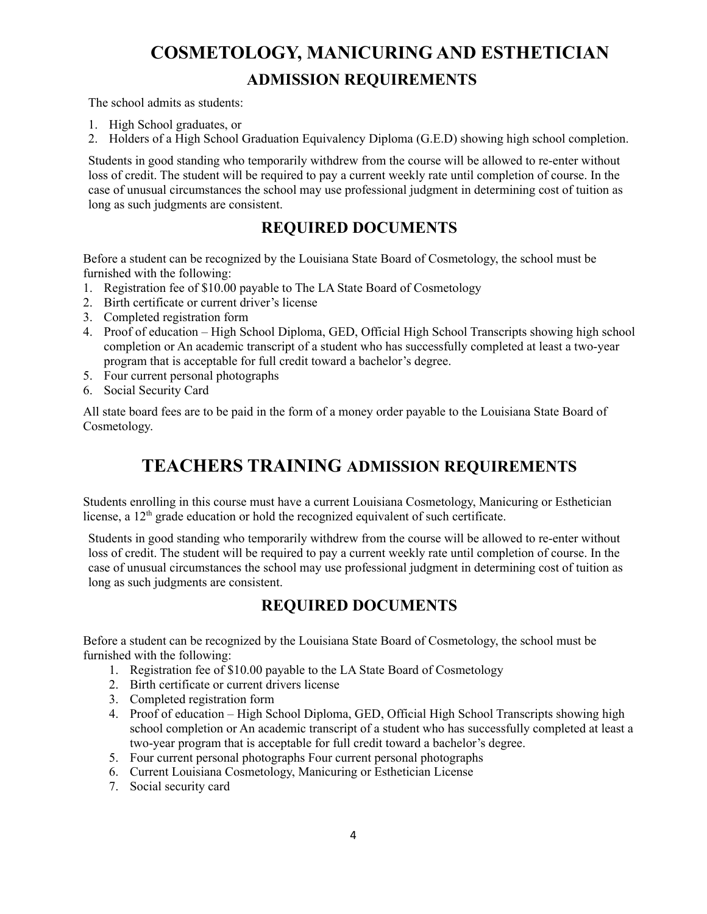# **COSMETOLOGY, MANICURING AND ESTHETICIAN ADMISSION REQUIREMENTS**

The school admits as students:

- 1. High School graduates, or
- 2. Holders of a High School Graduation Equivalency Diploma (G.E.D) showing high school completion.

Students in good standing who temporarily withdrew from the course will be allowed to re-enter without loss of credit. The student will be required to pay a current weekly rate until completion of course. In the case of unusual circumstances the school may use professional judgment in determining cost of tuition as long as such judgments are consistent.

### **REQUIRED DOCUMENTS**

Before a student can be recognized by the Louisiana State Board of Cosmetology, the school must be furnished with the following:

- 1. Registration fee of \$10.00 payable to The LA State Board of Cosmetology
- 2. Birth certificate or current driver's license
- 3. Completed registration form
- 4. Proof of education High School Diploma, GED, Official High School Transcripts showing high school completion or An academic transcript of a student who has successfully completed at least a two-year program that is acceptable for full credit toward a bachelor's degree.
- 5. Four current personal photographs
- 6. Social Security Card

All state board fees are to be paid in the form of a money order payable to the Louisiana State Board of Cosmetology.

## **TEACHERS TRAINING ADMISSION REQUIREMENTS**

Students enrolling in this course must have a current Louisiana Cosmetology, Manicuring or Esthetician license, a 12<sup>th</sup> grade education or hold the recognized equivalent of such certificate.

Students in good standing who temporarily withdrew from the course will be allowed to re-enter without loss of credit. The student will be required to pay a current weekly rate until completion of course. In the case of unusual circumstances the school may use professional judgment in determining cost of tuition as long as such judgments are consistent.

### **REQUIRED DOCUMENTS**

Before a student can be recognized by the Louisiana State Board of Cosmetology, the school must be furnished with the following:

- 1. Registration fee of \$10.00 payable to the LA State Board of Cosmetology
- 2. Birth certificate or current drivers license
- 3. Completed registration form
- 4. Proof of education High School Diploma, GED, Official High School Transcripts showing high school completion or An academic transcript of a student who has successfully completed at least a two-year program that is acceptable for full credit toward a bachelor's degree.
- 5. Four current personal photographs Four current personal photographs
- 6. Current Louisiana Cosmetology, Manicuring or Esthetician License
- 7. Social security card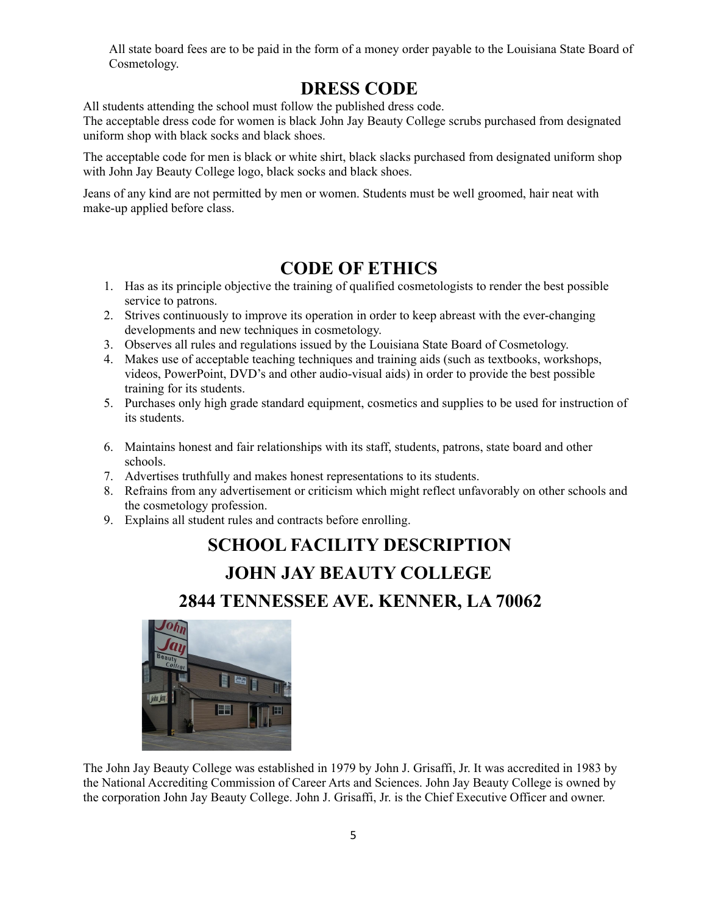All state board fees are to be paid in the form of a money order payable to the Louisiana State Board of Cosmetology.

## **DRESS CODE**

All students attending the school must follow the published dress code.

The acceptable dress code for women is black John Jay Beauty College scrubs purchased from designated uniform shop with black socks and black shoes.

The acceptable code for men is black or white shirt, black slacks purchased from designated uniform shop with John Jay Beauty College logo, black socks and black shoes.

Jeans of any kind are not permitted by men or women. Students must be well groomed, hair neat with make-up applied before class.

# **CODE OF ETHICS**

- 1. Has as its principle objective the training of qualified cosmetologists to render the best possible service to patrons.
- 2. Strives continuously to improve its operation in order to keep abreast with the ever-changing developments and new techniques in cosmetology.
- 3. Observes all rules and regulations issued by the Louisiana State Board of Cosmetology.
- 4. Makes use of acceptable teaching techniques and training aids (such as textbooks, workshops, videos, PowerPoint, DVD's and other audio-visual aids) in order to provide the best possible training for its students.
- 5. Purchases only high grade standard equipment, cosmetics and supplies to be used for instruction of its students.
- 6. Maintains honest and fair relationships with its staff, students, patrons, state board and other schools.
- 7. Advertises truthfully and makes honest representations to its students.
- 8. Refrains from any advertisement or criticism which might reflect unfavorably on other schools and the cosmetology profession.
- 9. Explains all student rules and contracts before enrolling.

# **SCHOOL FACILITY DESCRIPTION**

# **JOHN JAY BEAUTY COLLEGE**

## **2844 TENNESSEE AVE. KENNER, LA 70062**



The John Jay Beauty College was established in 1979 by John J. Grisaffi, Jr. It was accredited in 1983 by the National Accrediting Commission of Career Arts and Sciences. John Jay Beauty College is owned by the corporation John Jay Beauty College. John J. Grisaffi, Jr. is the Chief Executive Officer and owner.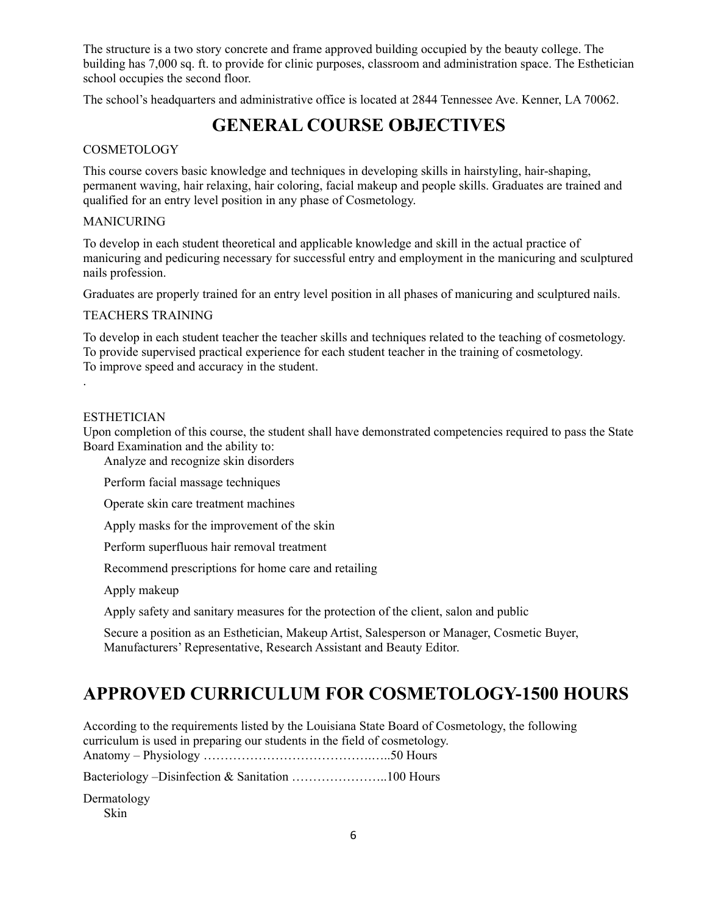The structure is a two story concrete and frame approved building occupied by the beauty college. The building has 7,000 sq. ft. to provide for clinic purposes, classroom and administration space. The Esthetician school occupies the second floor.

The school's headquarters and administrative office is located at 2844 Tennessee Ave. Kenner, LA 70062.

# **GENERAL COURSE OBJECTIVES**

### COSMETOLOGY

This course covers basic knowledge and techniques in developing skills in hairstyling, hair-shaping, permanent waving, hair relaxing, hair coloring, facial makeup and people skills. Graduates are trained and qualified for an entry level position in any phase of Cosmetology.

### MANICURING

To develop in each student theoretical and applicable knowledge and skill in the actual practice of manicuring and pedicuring necessary for successful entry and employment in the manicuring and sculptured nails profession.

Graduates are properly trained for an entry level position in all phases of manicuring and sculptured nails.

### TEACHERS TRAINING

To develop in each student teacher the teacher skills and techniques related to the teaching of cosmetology. To provide supervised practical experience for each student teacher in the training of cosmetology. To improve speed and accuracy in the student.

### ESTHETICIAN

.

Upon completion of this course, the student shall have demonstrated competencies required to pass the State Board Examination and the ability to:

Analyze and recognize skin disorders

Perform facial massage techniques

Operate skin care treatment machines

Apply masks for the improvement of the skin

Perform superfluous hair removal treatment

Recommend prescriptions for home care and retailing

Apply makeup

Apply safety and sanitary measures for the protection of the client, salon and public

Secure a position as an Esthetician, Makeup Artist, Salesperson or Manager, Cosmetic Buyer, Manufacturers' Representative, Research Assistant and Beauty Editor.

# **APPROVED CURRICULUM FOR COSMETOLOGY-1500 HOURS**

According to the requirements listed by the Louisiana State Board of Cosmetology, the following curriculum is used in preparing our students in the field of cosmetology. Anatomy – Physiology ………………………………….…..50 Hours

Bacteriology –Disinfection & Sanitation …………………..100 Hours

Dermatology Skin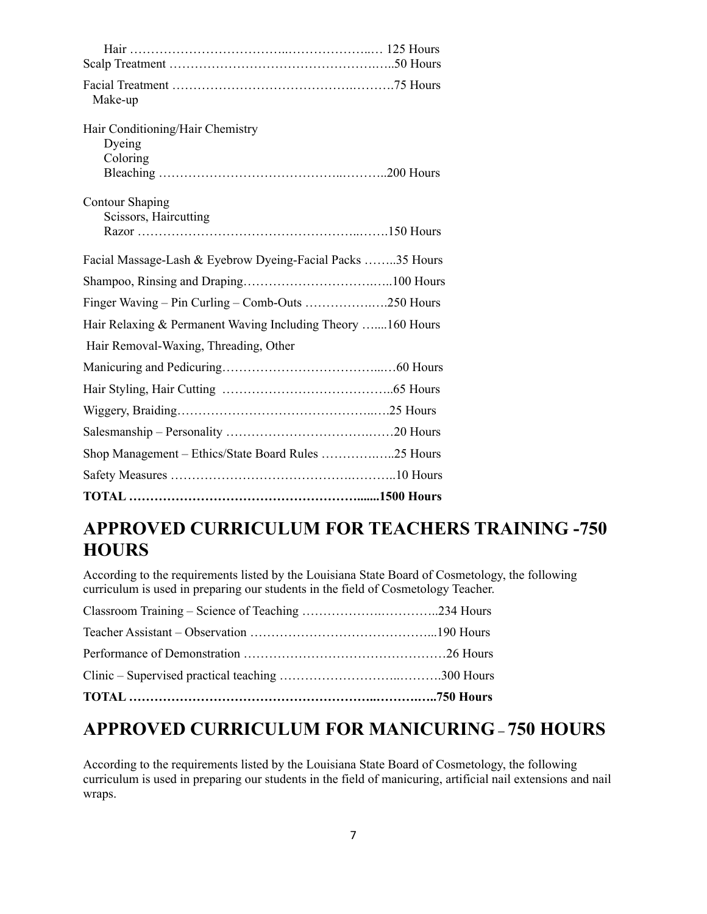| Make-up                                                     |  |
|-------------------------------------------------------------|--|
| Hair Conditioning/Hair Chemistry                            |  |
| Dyeing                                                      |  |
| Coloring                                                    |  |
|                                                             |  |
| <b>Contour Shaping</b>                                      |  |
| Scissors, Haircutting                                       |  |
|                                                             |  |
| Facial Massage-Lash & Eyebrow Dyeing-Facial Packs 35 Hours  |  |
|                                                             |  |
| Finger Waving - Pin Curling - Comb-Outs 250 Hours           |  |
| Hair Relaxing & Permanent Waving Including Theory 160 Hours |  |
| Hair Removal-Waxing, Threading, Other                       |  |
|                                                             |  |
|                                                             |  |
|                                                             |  |
|                                                             |  |
| Shop Management – Ethics/State Board Rules 25 Hours         |  |
|                                                             |  |
|                                                             |  |

# **APPROVED CURRICULUM FOR TEACHERS TRAINING -750 HOURS**

According to the requirements listed by the Louisiana State Board of Cosmetology, the following curriculum is used in preparing our students in the field of Cosmetology Teacher.

# **APPROVED CURRICULUM FOR MANICURING – 750 HOURS**

According to the requirements listed by the Louisiana State Board of Cosmetology, the following curriculum is used in preparing our students in the field of manicuring, artificial nail extensions and nail wraps.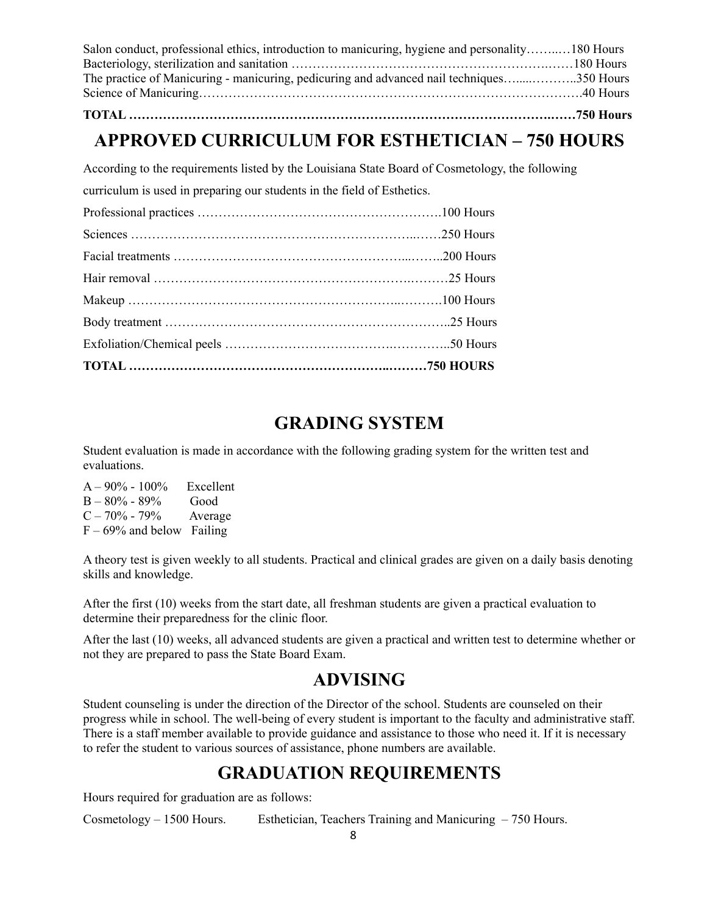| Salon conduct, professional ethics, introduction to manicuring, hygiene and personality180 Hours |  |
|--------------------------------------------------------------------------------------------------|--|
|                                                                                                  |  |
| The practice of Manicuring - manicuring, pedicuring and advanced nail techniques350 Hours        |  |
|                                                                                                  |  |
|                                                                                                  |  |

### **TOTAL ……………………………………………………………………………………….……750 Hours**

# **APPROVED CURRICULUM FOR ESTHETICIAN – 750 HOURS**

According to the requirements listed by the Louisiana State Board of Cosmetology, the following

curriculum is used in preparing our students in the field of Esthetics.

# **GRADING SYSTEM**

Student evaluation is made in accordance with the following grading system for the written test and evaluations.

 $A - 90\% - 100\%$  Excellent B – 80% - 89% Good  $C - 70\% - 79\%$  Average  $F - 69\%$  and below Failing

A theory test is given weekly to all students. Practical and clinical grades are given on a daily basis denoting skills and knowledge.

After the first (10) weeks from the start date, all freshman students are given a practical evaluation to determine their preparedness for the clinic floor.

After the last (10) weeks, all advanced students are given a practical and written test to determine whether or not they are prepared to pass the State Board Exam.

# **ADVISING**

Student counseling is under the direction of the Director of the school. Students are counseled on their progress while in school. The well-being of every student is important to the faculty and administrative staff. There is a staff member available to provide guidance and assistance to those who need it. If it is necessary to refer the student to various sources of assistance, phone numbers are available.

# **GRADUATION REQUIREMENTS**

Hours required for graduation are as follows:

Cosmetology – 1500 Hours. Esthetician, Teachers Training and Manicuring – 750 Hours.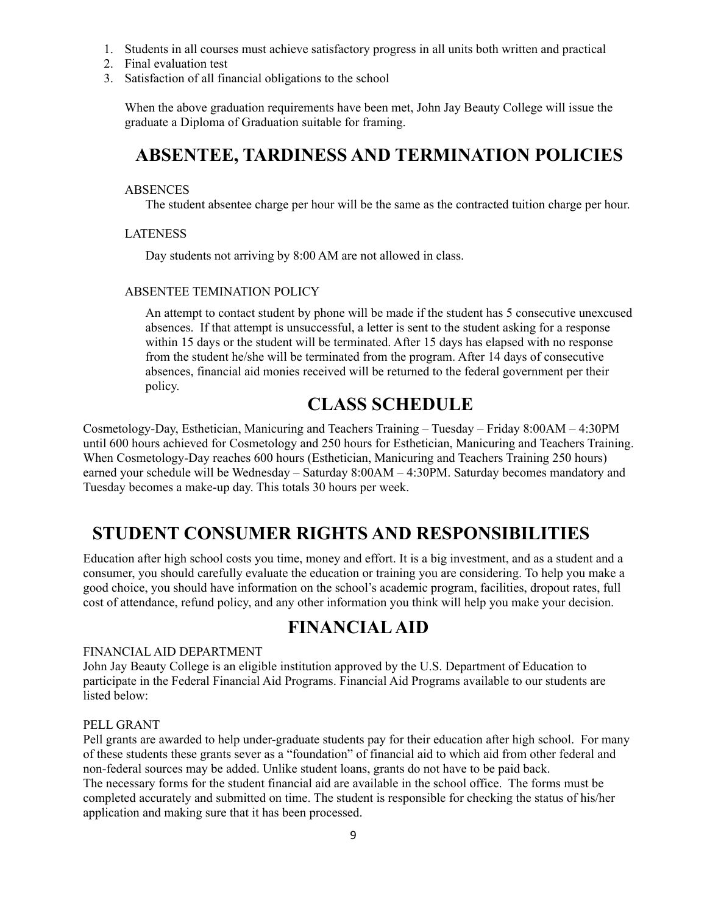- 1. Students in all courses must achieve satisfactory progress in all units both written and practical
- 2. Final evaluation test
- 3. Satisfaction of all financial obligations to the school

When the above graduation requirements have been met, John Jay Beauty College will issue the graduate a Diploma of Graduation suitable for framing.

## **ABSENTEE, TARDINESS AND TERMINATION POLICIES**

#### ABSENCES

The student absentee charge per hour will be the same as the contracted tuition charge per hour.

#### LATENESS

Day students not arriving by 8:00 AM are not allowed in class.

### ABSENTEE TEMINATION POLICY

An attempt to contact student by phone will be made if the student has 5 consecutive unexcused absences. If that attempt is unsuccessful, a letter is sent to the student asking for a response within 15 days or the student will be terminated. After 15 days has elapsed with no response from the student he/she will be terminated from the program. After 14 days of consecutive absences, financial aid monies received will be returned to the federal government per their policy.

# **CLASS SCHEDULE**

Cosmetology-Day, Esthetician, Manicuring and Teachers Training – Tuesday – Friday 8:00AM – 4:30PM until 600 hours achieved for Cosmetology and 250 hours for Esthetician, Manicuring and Teachers Training. When Cosmetology-Day reaches 600 hours (Esthetician, Manicuring and Teachers Training 250 hours) earned your schedule will be Wednesday – Saturday 8:00AM – 4:30PM. Saturday becomes mandatory and Tuesday becomes a make-up day. This totals 30 hours per week.

# **STUDENT CONSUMER RIGHTS AND RESPONSIBILITIES**

Education after high school costs you time, money and effort. It is a big investment, and as a student and a consumer, you should carefully evaluate the education or training you are considering. To help you make a good choice, you should have information on the school's academic program, facilities, dropout rates, full cost of attendance, refund policy, and any other information you think will help you make your decision.

# **FINANCIALAID**

#### FINANCIAL AID DEPARTMENT

John Jay Beauty College is an eligible institution approved by the U.S. Department of Education to participate in the Federal Financial Aid Programs. Financial Aid Programs available to our students are listed below:

#### PELL GRANT

Pell grants are awarded to help under-graduate students pay for their education after high school. For many of these students these grants sever as a "foundation" of financial aid to which aid from other federal and non-federal sources may be added. Unlike student loans, grants do not have to be paid back. The necessary forms for the student financial aid are available in the school office. The forms must be completed accurately and submitted on time. The student is responsible for checking the status of his/her application and making sure that it has been processed.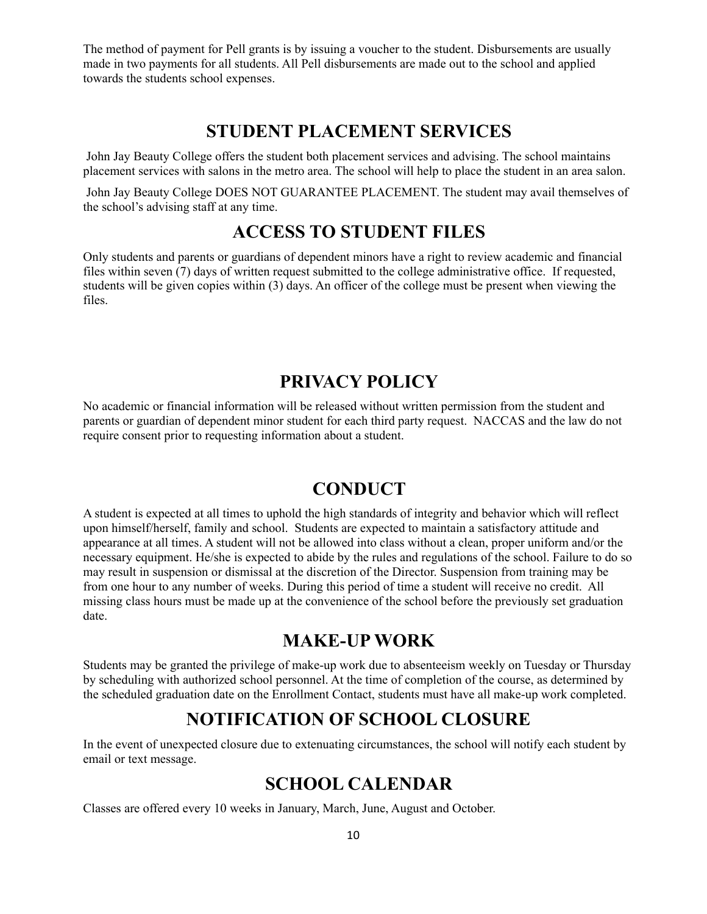The method of payment for Pell grants is by issuing a voucher to the student. Disbursements are usually made in two payments for all students. All Pell disbursements are made out to the school and applied towards the students school expenses.

## **STUDENT PLACEMENT SERVICES**

John Jay Beauty College offers the student both placement services and advising. The school maintains placement services with salons in the metro area. The school will help to place the student in an area salon.

John Jay Beauty College DOES NOT GUARANTEE PLACEMENT. The student may avail themselves of the school's advising staff at any time.

# **ACCESS TO STUDENT FILES**

Only students and parents or guardians of dependent minors have a right to review academic and financial files within seven (7) days of written request submitted to the college administrative office. If requested, students will be given copies within (3) days. An officer of the college must be present when viewing the files.

# **PRIVACY POLICY**

No academic or financial information will be released without written permission from the student and parents or guardian of dependent minor student for each third party request. NACCAS and the law do not require consent prior to requesting information about a student.

## **CONDUCT**

A student is expected at all times to uphold the high standards of integrity and behavior which will reflect upon himself/herself, family and school. Students are expected to maintain a satisfactory attitude and appearance at all times. A student will not be allowed into class without a clean, proper uniform and/or the necessary equipment. He/she is expected to abide by the rules and regulations of the school. Failure to do so may result in suspension or dismissal at the discretion of the Director. Suspension from training may be from one hour to any number of weeks. During this period of time a student will receive no credit. All missing class hours must be made up at the convenience of the school before the previously set graduation date.

## **MAKE-UP WORK**

Students may be granted the privilege of make-up work due to absenteeism weekly on Tuesday or Thursday by scheduling with authorized school personnel. At the time of completion of the course, as determined by the scheduled graduation date on the Enrollment Contact, students must have all make-up work completed.

# **NOTIFICATION OF SCHOOL CLOSURE**

In the event of unexpected closure due to extenuating circumstances, the school will notify each student by email or text message.

# **SCHOOL CALENDAR**

Classes are offered every 10 weeks in January, March, June, August and October.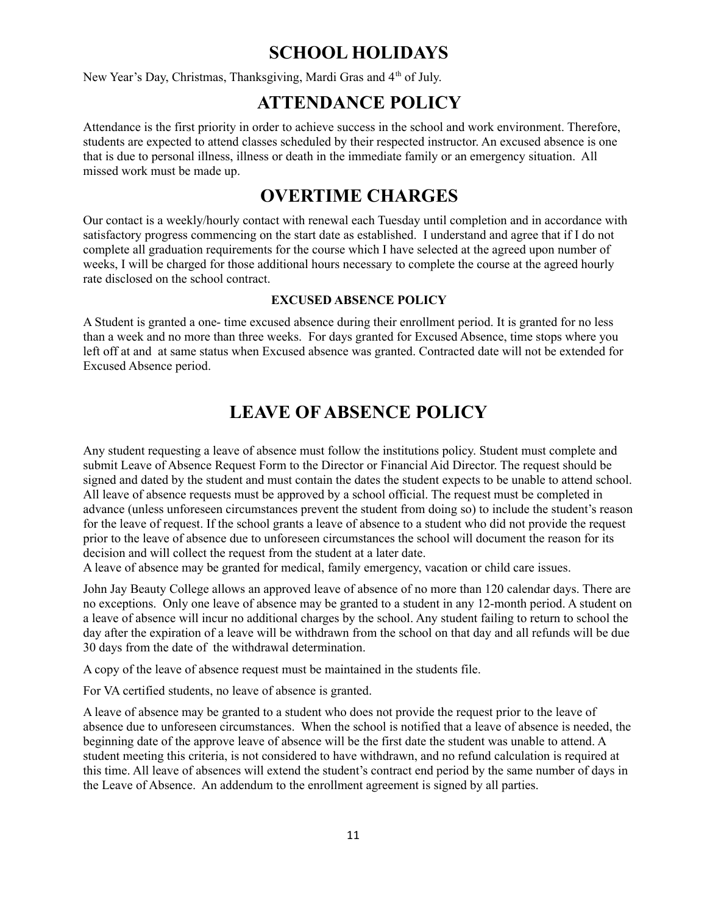# **SCHOOL HOLIDAYS**

New Year's Day, Christmas, Thanksgiving, Mardi Gras and 4<sup>th</sup> of July.

# **ATTENDANCE POLICY**

Attendance is the first priority in order to achieve success in the school and work environment. Therefore, students are expected to attend classes scheduled by their respected instructor. An excused absence is one that is due to personal illness, illness or death in the immediate family or an emergency situation. All missed work must be made up.

## **OVERTIME CHARGES**

Our contact is a weekly/hourly contact with renewal each Tuesday until completion and in accordance with satisfactory progress commencing on the start date as established. I understand and agree that if I do not complete all graduation requirements for the course which I have selected at the agreed upon number of weeks, I will be charged for those additional hours necessary to complete the course at the agreed hourly rate disclosed on the school contract.

### **EXCUSED ABSENCE POLICY**

A Student is granted a one- time excused absence during their enrollment period. It is granted for no less than a week and no more than three weeks. For days granted for Excused Absence, time stops where you left off at and at same status when Excused absence was granted. Contracted date will not be extended for Excused Absence period.

# **LEAVE OF ABSENCE POLICY**

Any student requesting a leave of absence must follow the institutions policy. Student must complete and submit Leave of Absence Request Form to the Director or Financial Aid Director. The request should be signed and dated by the student and must contain the dates the student expects to be unable to attend school. All leave of absence requests must be approved by a school official. The request must be completed in advance (unless unforeseen circumstances prevent the student from doing so) to include the student's reason for the leave of request. If the school grants a leave of absence to a student who did not provide the request prior to the leave of absence due to unforeseen circumstances the school will document the reason for its decision and will collect the request from the student at a later date.

A leave of absence may be granted for medical, family emergency, vacation or child care issues.

John Jay Beauty College allows an approved leave of absence of no more than 120 calendar days. There are no exceptions. Only one leave of absence may be granted to a student in any 12-month period. A student on a leave of absence will incur no additional charges by the school. Any student failing to return to school the day after the expiration of a leave will be withdrawn from the school on that day and all refunds will be due 30 days from the date of the withdrawal determination.

A copy of the leave of absence request must be maintained in the students file.

For VA certified students, no leave of absence is granted.

A leave of absence may be granted to a student who does not provide the request prior to the leave of absence due to unforeseen circumstances. When the school is notified that a leave of absence is needed, the beginning date of the approve leave of absence will be the first date the student was unable to attend. A student meeting this criteria, is not considered to have withdrawn, and no refund calculation is required at this time. All leave of absences will extend the student's contract end period by the same number of days in the Leave of Absence. An addendum to the enrollment agreement is signed by all parties.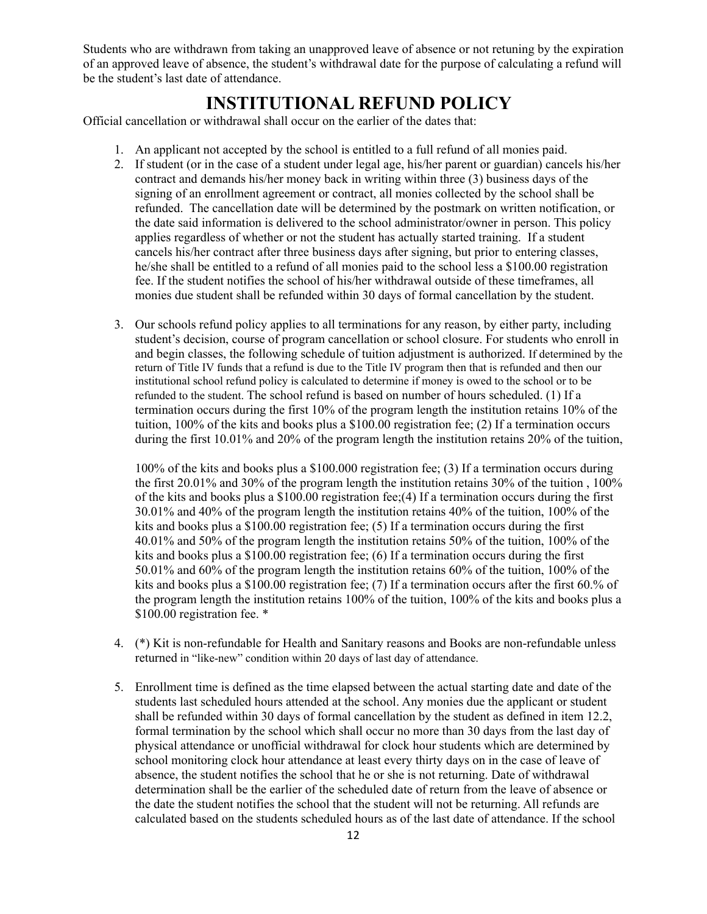Students who are withdrawn from taking an unapproved leave of absence or not retuning by the expiration of an approved leave of absence, the student's withdrawal date for the purpose of calculating a refund will be the student's last date of attendance.

## **INSTITUTIONAL REFUND POLICY**

Official cancellation or withdrawal shall occur on the earlier of the dates that:

- 1. An applicant not accepted by the school is entitled to a full refund of all monies paid.
- 2. If student (or in the case of a student under legal age, his/her parent or guardian) cancels his/her contract and demands his/her money back in writing within three (3) business days of the signing of an enrollment agreement or contract, all monies collected by the school shall be refunded. The cancellation date will be determined by the postmark on written notification, or the date said information is delivered to the school administrator/owner in person. This policy applies regardless of whether or not the student has actually started training. If a student cancels his/her contract after three business days after signing, but prior to entering classes, he/she shall be entitled to a refund of all monies paid to the school less a \$100.00 registration fee. If the student notifies the school of his/her withdrawal outside of these timeframes, all monies due student shall be refunded within 30 days of formal cancellation by the student.
- 3. Our schools refund policy applies to all terminations for any reason, by either party, including student's decision, course of program cancellation or school closure. For students who enroll in and begin classes, the following schedule of tuition adjustment is authorized. If determined by the return of Title IV funds that a refund is due to the Title IV program then that is refunded and then our institutional school refund policy is calculated to determine if money is owed to the school or to be refunded to the student. The school refund is based on number of hours scheduled. (1) If a termination occurs during the first 10% of the program length the institution retains 10% of the tuition, 100% of the kits and books plus a \$100.00 registration fee; (2) If a termination occurs during the first 10.01% and 20% of the program length the institution retains 20% of the tuition,

100% of the kits and books plus a \$100.000 registration fee; (3) If a termination occurs during the first 20.01% and 30% of the program length the institution retains 30% of the tuition , 100% of the kits and books plus a \$100.00 registration fee;(4) If a termination occurs during the first 30.01% and 40% of the program length the institution retains 40% of the tuition, 100% of the kits and books plus a  $$100.00$  registration fee; (5) If a termination occurs during the first 40.01% and 50% of the program length the institution retains 50% of the tuition, 100% of the kits and books plus a \$100.00 registration fee; (6) If a termination occurs during the first 50.01% and 60% of the program length the institution retains 60% of the tuition, 100% of the kits and books plus a \$100.00 registration fee; (7) If a termination occurs after the first 60.% of the program length the institution retains 100% of the tuition, 100% of the kits and books plus a \$100.00 registration fee.  $*$ 

- 4. (\*) Kit is non-refundable for Health and Sanitary reasons and Books are non-refundable unless returned in "like-new" condition within 20 days of last day of attendance.
- 5. Enrollment time is defined as the time elapsed between the actual starting date and date of the students last scheduled hours attended at the school. Any monies due the applicant or student shall be refunded within 30 days of formal cancellation by the student as defined in item 12.2, formal termination by the school which shall occur no more than 30 days from the last day of physical attendance or unofficial withdrawal for clock hour students which are determined by school monitoring clock hour attendance at least every thirty days on in the case of leave of absence, the student notifies the school that he or she is not returning. Date of withdrawal determination shall be the earlier of the scheduled date of return from the leave of absence or the date the student notifies the school that the student will not be returning. All refunds are calculated based on the students scheduled hours as of the last date of attendance. If the school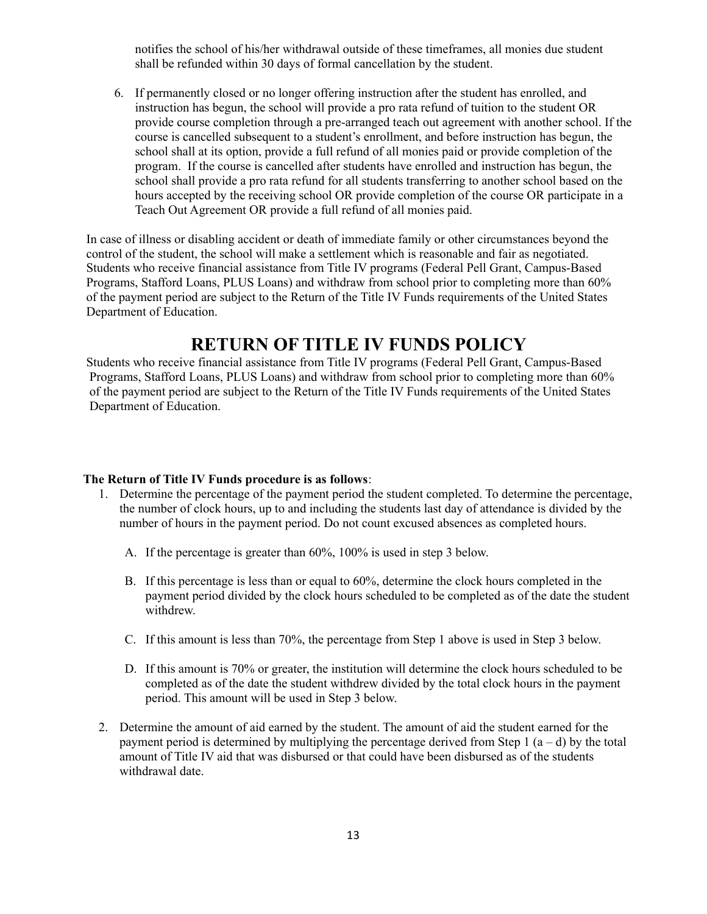notifies the school of his/her withdrawal outside of these timeframes, all monies due student shall be refunded within 30 days of formal cancellation by the student.

6. If permanently closed or no longer offering instruction after the student has enrolled, and instruction has begun, the school will provide a pro rata refund of tuition to the student OR provide course completion through a pre-arranged teach out agreement with another school. If the course is cancelled subsequent to a student's enrollment, and before instruction has begun, the school shall at its option, provide a full refund of all monies paid or provide completion of the program. If the course is cancelled after students have enrolled and instruction has begun, the school shall provide a pro rata refund for all students transferring to another school based on the hours accepted by the receiving school OR provide completion of the course OR participate in a Teach Out Agreement OR provide a full refund of all monies paid.

In case of illness or disabling accident or death of immediate family or other circumstances beyond the control of the student, the school will make a settlement which is reasonable and fair as negotiated. Students who receive financial assistance from Title IV programs (Federal Pell Grant, Campus-Based Programs, Stafford Loans, PLUS Loans) and withdraw from school prior to completing more than 60% of the payment period are subject to the Return of the Title IV Funds requirements of the United States Department of Education.

# **RETURN OF TITLE IV FUNDS POLICY**

Students who receive financial assistance from Title IV programs (Federal Pell Grant, Campus-Based Programs, Stafford Loans, PLUS Loans) and withdraw from school prior to completing more than 60% of the payment period are subject to the Return of the Title IV Funds requirements of the United States Department of Education.

#### **The Return of Title IV Funds procedure is as follows**:

- 1. Determine the percentage of the payment period the student completed. To determine the percentage, the number of clock hours, up to and including the students last day of attendance is divided by the number of hours in the payment period. Do not count excused absences as completed hours.
	- A. If the percentage is greater than 60%, 100% is used in step 3 below.
	- B. If this percentage is less than or equal to 60%, determine the clock hours completed in the payment period divided by the clock hours scheduled to be completed as of the date the student withdrew.
	- C. If this amount is less than 70%, the percentage from Step 1 above is used in Step 3 below.
	- D. If this amount is 70% or greater, the institution will determine the clock hours scheduled to be completed as of the date the student withdrew divided by the total clock hours in the payment period. This amount will be used in Step 3 below.
- 2. Determine the amount of aid earned by the student. The amount of aid the student earned for the payment period is determined by multiplying the percentage derived from Step 1  $(a - d)$  by the total amount of Title IV aid that was disbursed or that could have been disbursed as of the students withdrawal date.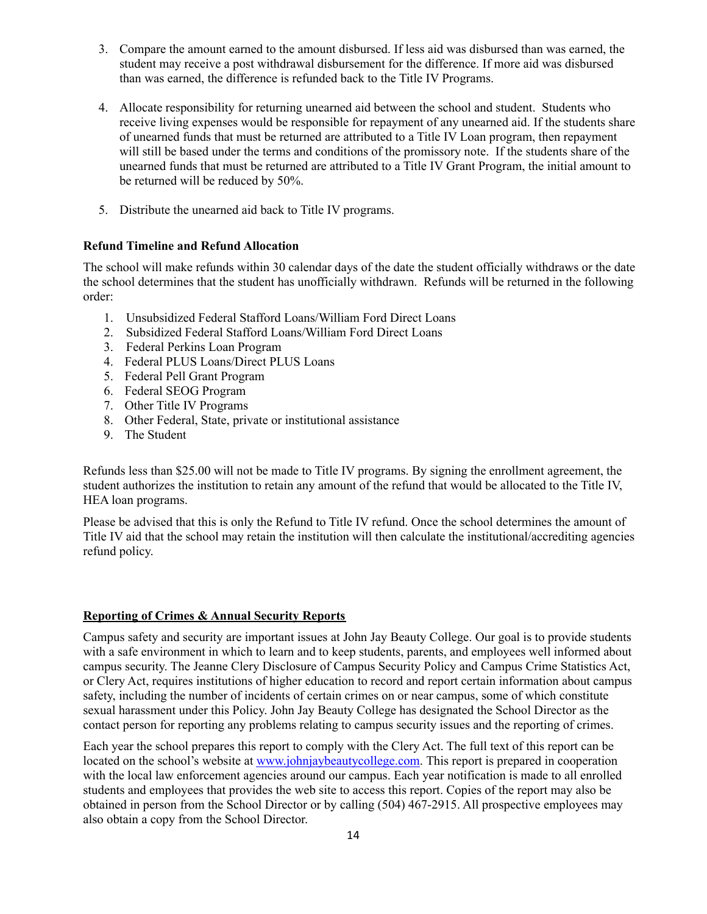- 3. Compare the amount earned to the amount disbursed. If less aid was disbursed than was earned, the student may receive a post withdrawal disbursement for the difference. If more aid was disbursed than was earned, the difference is refunded back to the Title IV Programs.
- 4. Allocate responsibility for returning unearned aid between the school and student. Students who receive living expenses would be responsible for repayment of any unearned aid. If the students share of unearned funds that must be returned are attributed to a Title IV Loan program, then repayment will still be based under the terms and conditions of the promissory note. If the students share of the unearned funds that must be returned are attributed to a Title IV Grant Program, the initial amount to be returned will be reduced by 50%.
- 5. Distribute the unearned aid back to Title IV programs.

### **Refund Timeline and Refund Allocation**

The school will make refunds within 30 calendar days of the date the student officially withdraws or the date the school determines that the student has unofficially withdrawn. Refunds will be returned in the following order:

- 1. Unsubsidized Federal Stafford Loans/William Ford Direct Loans
- 2. Subsidized Federal Stafford Loans/William Ford Direct Loans
- 3. Federal Perkins Loan Program
- 4. Federal PLUS Loans/Direct PLUS Loans
- 5. Federal Pell Grant Program
- 6. Federal SEOG Program
- 7. Other Title IV Programs
- 8. Other Federal, State, private or institutional assistance
- 9. The Student

Refunds less than \$25.00 will not be made to Title IV programs. By signing the enrollment agreement, the student authorizes the institution to retain any amount of the refund that would be allocated to the Title IV, HEA loan programs.

Please be advised that this is only the Refund to Title IV refund. Once the school determines the amount of Title IV aid that the school may retain the institution will then calculate the institutional/accrediting agencies refund policy.

### **Reporting of Crimes & Annual Security Reports**

Campus safety and security are important issues at John Jay Beauty College. Our goal is to provide students with a safe environment in which to learn and to keep students, parents, and employees well informed about campus security. The Jeanne Clery Disclosure of Campus Security Policy and Campus Crime Statistics Act, or Clery Act, requires institutions of higher education to record and report certain information about campus safety, including the number of incidents of certain crimes on or near campus, some of which constitute sexual harassment under this Policy. John Jay Beauty College has designated the School Director as the contact person for reporting any problems relating to campus security issues and the reporting of crimes.

Each year the school prepares this report to comply with the Clery Act. The full text of this report can be located on the school's website at [www.johnjaybeautycollege.com.](http://www.johnjaybeautycollege.com) This report is prepared in cooperation with the local law enforcement agencies around our campus. Each year notification is made to all enrolled students and employees that provides the web site to access this report. Copies of the report may also be obtained in person from the School Director or by calling (504) 467-2915. All prospective employees may also obtain a copy from the School Director.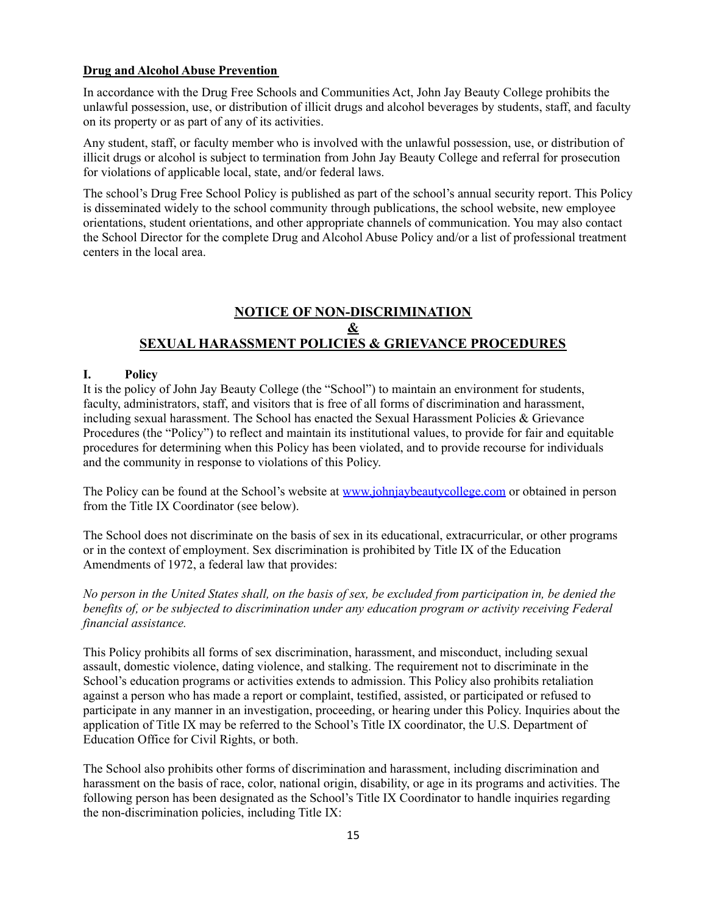### **Drug and Alcohol Abuse Prevention**

In accordance with the Drug Free Schools and Communities Act, John Jay Beauty College prohibits the unlawful possession, use, or distribution of illicit drugs and alcohol beverages by students, staff, and faculty on its property or as part of any of its activities.

Any student, staff, or faculty member who is involved with the unlawful possession, use, or distribution of illicit drugs or alcohol is subject to termination from John Jay Beauty College and referral for prosecution for violations of applicable local, state, and/or federal laws.

The school's Drug Free School Policy is published as part of the school's annual security report. This Policy is disseminated widely to the school community through publications, the school website, new employee orientations, student orientations, and other appropriate channels of communication. You may also contact the School Director for the complete Drug and Alcohol Abuse Policy and/or a list of professional treatment centers in the local area.

### **NOTICE OF NON-DISCRIMINATION & SEXUAL HARASSMENT POLICIES & GRIEVANCE PROCEDURES**

### **I. Policy**

It is the policy of John Jay Beauty College (the "School") to maintain an environment for students, faculty, administrators, staff, and visitors that is free of all forms of discrimination and harassment, including sexual harassment. The School has enacted the Sexual Harassment Policies & Grievance Procedures (the "Policy") to reflect and maintain its institutional values, to provide for fair and equitable procedures for determining when this Policy has been violated, and to provide recourse for individuals and the community in response to violations of this Policy.

The Policy can be found at the School's website at [www.johnjaybeautycollege.com](http://www.johnjaybeautycollege.com) or obtained in person from the Title IX Coordinator (see below).

The School does not discriminate on the basis of sex in its educational, extracurricular, or other programs or in the context of employment. Sex discrimination is prohibited by Title IX of the Education Amendments of 1972, a federal law that provides:

No person in the United States shall, on the basis of sex, be excluded from participation in, be denied the *benefits of, or be subjected to discrimination under any education program or activity receiving Federal financial assistance.*

This Policy prohibits all forms of sex discrimination, harassment, and misconduct, including sexual assault, domestic violence, dating violence, and stalking. The requirement not to discriminate in the School's education programs or activities extends to admission. This Policy also prohibits retaliation against a person who has made a report or complaint, testified, assisted, or participated or refused to participate in any manner in an investigation, proceeding, or hearing under this Policy. Inquiries about the application of Title IX may be referred to the School's Title IX coordinator, the U.S. Department of Education Office for Civil Rights, or both.

The School also prohibits other forms of discrimination and harassment, including discrimination and harassment on the basis of race, color, national origin, disability, or age in its programs and activities. The following person has been designated as the School's Title IX Coordinator to handle inquiries regarding the non-discrimination policies, including Title IX: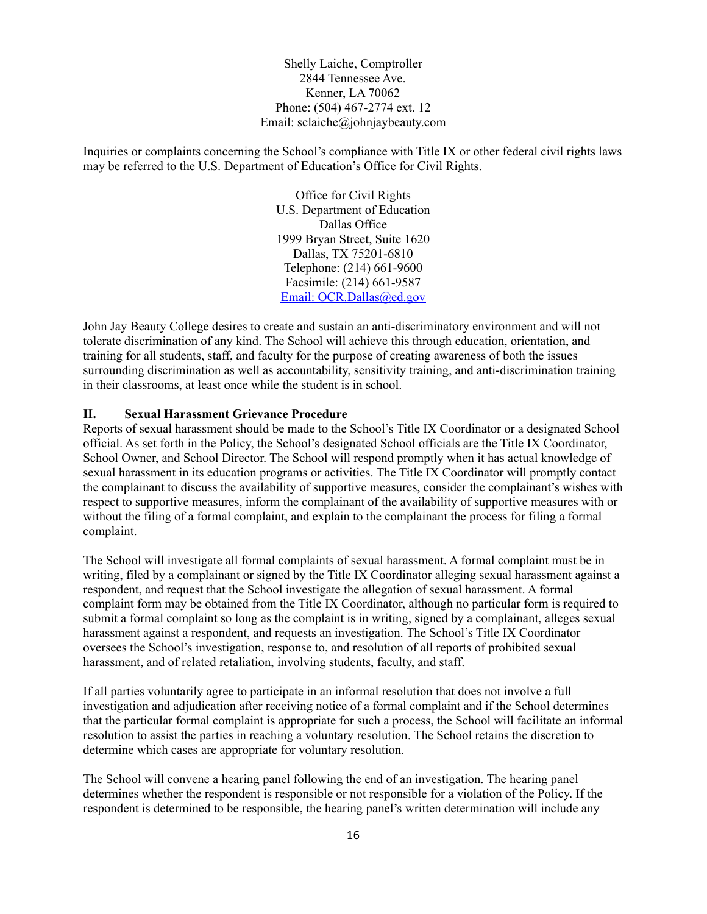Shelly Laiche, Comptroller 2844 Tennessee Ave. Kenner, LA 70062 Phone: (504) 467-2774 ext. 12 Email: sclaiche@johnjaybeauty.com

Inquiries or complaints concerning the School's compliance with Title IX or other federal civil rights laws may be referred to the U.S. Department of Education's Office for Civil Rights.

> Office for Civil Rights U.S. Department of Education Dallas Office 1999 Bryan Street, Suite 1620 Dallas, TX 75201-6810 Telephone: (214) 661-9600 Facsimile: (214) 661-9587 Email: OCR.Dallas@ed.gov

John Jay Beauty College desires to create and sustain an anti-discriminatory environment and will not tolerate discrimination of any kind. The School will achieve this through education, orientation, and training for all students, staff, and faculty for the purpose of creating awareness of both the issues surrounding discrimination as well as accountability, sensitivity training, and anti-discrimination training in their classrooms, at least once while the student is in school.

### **II. Sexual Harassment Grievance Procedure**

Reports of sexual harassment should be made to the School's Title IX Coordinator or a designated School official. As set forth in the Policy, the School's designated School officials are the Title IX Coordinator, School Owner, and School Director. The School will respond promptly when it has actual knowledge of sexual harassment in its education programs or activities. The Title IX Coordinator will promptly contact the complainant to discuss the availability of supportive measures, consider the complainant's wishes with respect to supportive measures, inform the complainant of the availability of supportive measures with or without the filing of a formal complaint, and explain to the complainant the process for filing a formal complaint.

The School will investigate all formal complaints of sexual harassment. A formal complaint must be in writing, filed by a complainant or signed by the Title IX Coordinator alleging sexual harassment against a respondent, and request that the School investigate the allegation of sexual harassment. A formal complaint form may be obtained from the Title IX Coordinator, although no particular form is required to submit a formal complaint so long as the complaint is in writing, signed by a complainant, alleges sexual harassment against a respondent, and requests an investigation. The School's Title IX Coordinator oversees the School's investigation, response to, and resolution of all reports of prohibited sexual harassment, and of related retaliation, involving students, faculty, and staff.

If all parties voluntarily agree to participate in an informal resolution that does not involve a full investigation and adjudication after receiving notice of a formal complaint and if the School determines that the particular formal complaint is appropriate for such a process, the School will facilitate an informal resolution to assist the parties in reaching a voluntary resolution. The School retains the discretion to determine which cases are appropriate for voluntary resolution.

The School will convene a hearing panel following the end of an investigation. The hearing panel determines whether the respondent is responsible or not responsible for a violation of the Policy. If the respondent is determined to be responsible, the hearing panel's written determination will include any